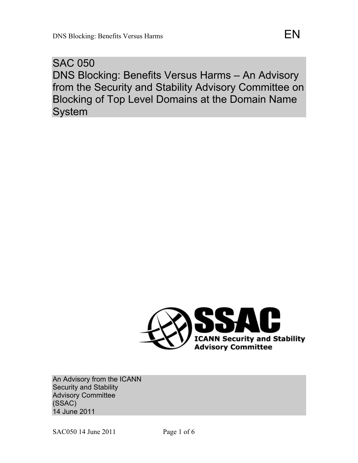SAC 050 DNS Blocking: Benefits Versus Harms – An Advisory from the Security and Stability Advisory Committee on Blocking of Top Level Domains at the Domain Name System



An Advisory from the ICANN Security and Stability Advisory Committee (SSAC) 14 June 2011

SAC050 14 June 2011 Page 1 of 6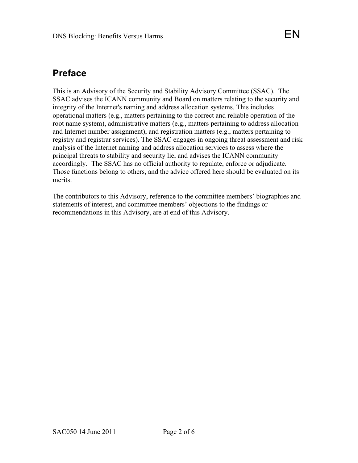## **Preface**

This is an Advisory of the Security and Stability Advisory Committee (SSAC). The SSAC advises the ICANN community and Board on matters relating to the security and integrity of the Internet's naming and address allocation systems. This includes operational matters (e.g., matters pertaining to the correct and reliable operation of the root name system), administrative matters (e.g., matters pertaining to address allocation and Internet number assignment), and registration matters (e.g., matters pertaining to registry and registrar services). The SSAC engages in ongoing threat assessment and risk analysis of the Internet naming and address allocation services to assess where the principal threats to stability and security lie, and advises the ICANN community accordingly. The SSAC has no official authority to regulate, enforce or adjudicate. Those functions belong to others, and the advice offered here should be evaluated on its merits.

The contributors to this Advisory, reference to the committee members' biographies and statements of interest, and committee members' objections to the findings or recommendations in this Advisory, are at end of this Advisory.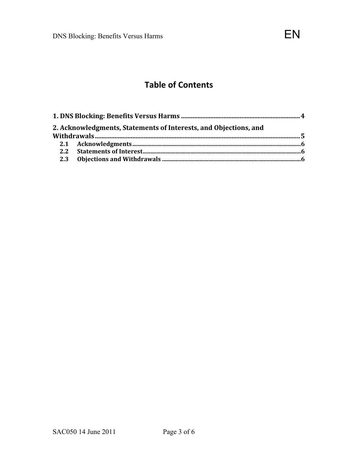# **Table
of
Contents**

| 2. Acknowledgments, Statements of Interests, and Objections, and |  |
|------------------------------------------------------------------|--|
|                                                                  |  |
|                                                                  |  |
|                                                                  |  |
|                                                                  |  |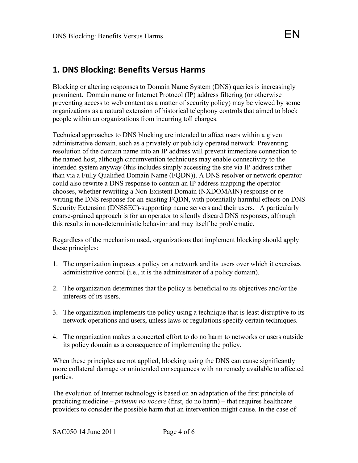### **1.
DNS
Blocking:
Benefits
Versus
Harms**

Blocking or altering responses to Domain Name System (DNS) queries is increasingly prominent. Domain name or Internet Protocol (IP) address filtering (or otherwise preventing access to web content as a matter of security policy) may be viewed by some organizations as a natural extension of historical telephony controls that aimed to block people within an organizations from incurring toll charges.

Technical approaches to DNS blocking are intended to affect users within a given administrative domain, such as a privately or publicly operated network. Preventing resolution of the domain name into an IP address will prevent immediate connection to the named host, although circumvention techniques may enable connectivity to the intended system anyway (this includes simply accessing the site via IP address rather than via a Fully Qualified Domain Name (FQDN)). A DNS resolver or network operator could also rewrite a DNS response to contain an IP address mapping the operator chooses, whether rewriting a Non-Existent Domain (NXDOMAIN) response or rewriting the DNS response for an existing FQDN, with potentially harmful effects on DNS Security Extension (DNSSEC)-supporting name servers and their users. A particularly coarse-grained approach is for an operator to silently discard DNS responses, although this results in non-deterministic behavior and may itself be problematic.

Regardless of the mechanism used, organizations that implement blocking should apply these principles:

- 1. The organization imposes a policy on a network and its users over which it exercises administrative control (i.e., it is the administrator of a policy domain).
- 2. The organization determines that the policy is beneficial to its objectives and/or the interests of its users.
- 3. The organization implements the policy using a technique that is least disruptive to its network operations and users, unless laws or regulations specify certain techniques.
- 4. The organization makes a concerted effort to do no harm to networks or users outside its policy domain as a consequence of implementing the policy.

When these principles are not applied, blocking using the DNS can cause significantly more collateral damage or unintended consequences with no remedy available to affected parties.

The evolution of Internet technology is based on an adaptation of the first principle of practicing medicine – *primum no nocere* (first, do no harm) – that requires healthcare providers to consider the possible harm that an intervention might cause. In the case of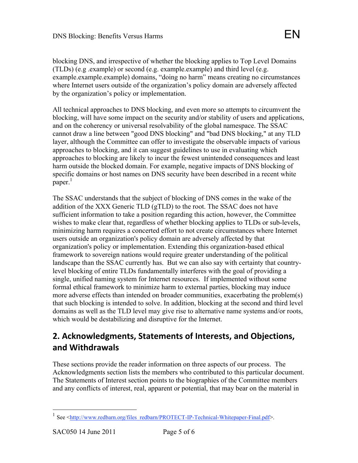blocking DNS, and irrespective of whether the blocking applies to Top Level Domains (TLDs) (e.g .example) or second (e.g. example.example) and third level (e.g. example.example.example) domains, "doing no harm" means creating no circumstances where Internet users outside of the organization's policy domain are adversely affected by the organization's policy or implementation.

All technical approaches to DNS blocking, and even more so attempts to circumvent the blocking, will have some impact on the security and/or stability of users and applications, and on the coherency or universal resolvability of the global namespace. The SSAC cannot draw a line between "good DNS blocking" and "bad DNS blocking," at any TLD layer, although the Committee can offer to investigate the observable impacts of various approaches to blocking, and it can suggest guidelines to use in evaluating which approaches to blocking are likely to incur the fewest unintended consequences and least harm outside the blocked domain. For example, negative impacts of DNS blocking of specific domains or host names on DNS security have been described in a recent white paper.<sup>1</sup>

The SSAC understands that the subject of blocking of DNS comes in the wake of the addition of the XXX Generic TLD (gTLD) to the root. The SSAC does not have sufficient information to take a position regarding this action, however, the Committee wishes to make clear that, regardless of whether blocking applies to TLDs or sub-levels, minimizing harm requires a concerted effort to not create circumstances where Internet users outside an organization's policy domain are adversely affected by that organization's policy or implementation. Extending this organization-based ethical framework to sovereign nations would require greater understanding of the political landscape than the SSAC currently has. But we can also say with certainty that countrylevel blocking of entire TLDs fundamentally interferes with the goal of providing a single, unified naming system for Internet resources. If implemented without some formal ethical framework to minimize harm to external parties, blocking may induce more adverse effects than intended on broader communities, exacerbating the problem(s) that such blocking is intended to solve. In addition, blocking at the second and third level domains as well as the TLD level may give rise to alternative name systems and/or roots, which would be destabilizing and disruptive for the Internet.

### **2.
Acknowledgments,
Statements
of
Interests,
and
Objections, and
Withdrawals**

These sections provide the reader information on three aspects of our process. The Acknowledgments section lists the members who contributed to this particular document. The Statements of Interest section points to the biographies of the Committee members and any conflicts of interest, real, apparent or potential, that may bear on the material in

<sup>&</sup>lt;sup>1</sup> See  $\leq$ http://www.redbarn.org/files\_redbarn/PROTECT-IP-Technical-Whitepaper-Final.pdf>.